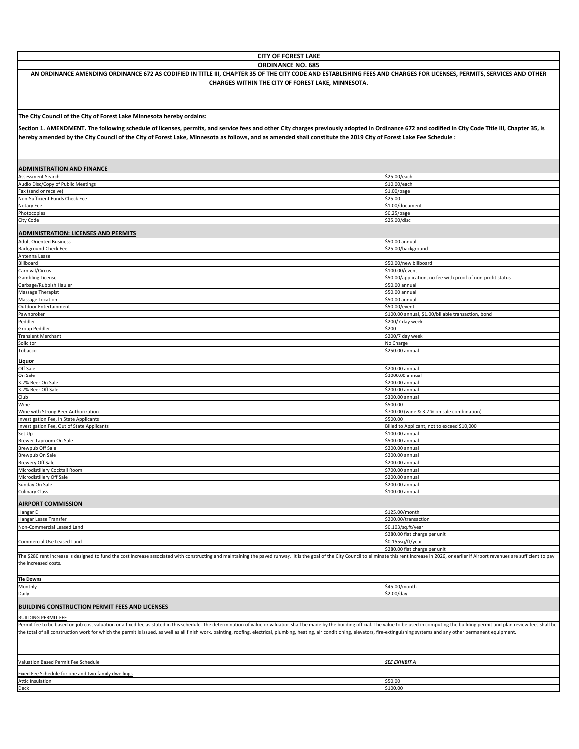| <b>CITY OF FOREST LAKE</b>                                                                                                                                                                                                                                                                                                                                                                                                                                                                    |                                                                               |
|-----------------------------------------------------------------------------------------------------------------------------------------------------------------------------------------------------------------------------------------------------------------------------------------------------------------------------------------------------------------------------------------------------------------------------------------------------------------------------------------------|-------------------------------------------------------------------------------|
| <b>ORDINANCE NO. 685</b><br>AN ORDINANCE AMENDING ORDINANCE 672 AS CODIFIED IN TITLE III, CHAPTER 35 OF THE CITY CODE AND ESTABLISHING FEES AND CHARGES FOR LICENSES, PERMITS, SERVICES AND OTHER<br>CHARGES WITHIN THE CITY OF FOREST LAKE, MINNESOTA.                                                                                                                                                                                                                                       |                                                                               |
|                                                                                                                                                                                                                                                                                                                                                                                                                                                                                               |                                                                               |
| The City Council of the City of Forest Lake Minnesota hereby ordains:                                                                                                                                                                                                                                                                                                                                                                                                                         |                                                                               |
| Section 1. AMENDMENT. The following schedule of licenses, permits, and service fees and other City charges previously adopted in Ordinance 672 and codified in City Code Title III, Chapter 35, is<br>hereby amended by the City Council of the City of Forest Lake, Minnesota as follows, and as amended shall constitute the 2019 City of Forest Lake Fee Schedule :                                                                                                                        |                                                                               |
| <b>ADMINISTRATION AND FINANCE</b>                                                                                                                                                                                                                                                                                                                                                                                                                                                             |                                                                               |
| Assessment Search<br>Audio Disc/Copy of Public Meetings                                                                                                                                                                                                                                                                                                                                                                                                                                       | \$25.00/each<br>\$10.00/each                                                  |
| Fax (send or receive)                                                                                                                                                                                                                                                                                                                                                                                                                                                                         | \$1.00/page                                                                   |
| Non-Sufficient Funds Check Fee                                                                                                                                                                                                                                                                                                                                                                                                                                                                | \$25.00                                                                       |
| Notary Fee<br>Photocopies                                                                                                                                                                                                                                                                                                                                                                                                                                                                     | \$1.00/document<br>\$0.25/page                                                |
| City Code                                                                                                                                                                                                                                                                                                                                                                                                                                                                                     | \$25.00/disc                                                                  |
| <b>ADMINISTRATION: LICENSES AND PERMITS</b>                                                                                                                                                                                                                                                                                                                                                                                                                                                   |                                                                               |
| <b>Adult Oriented Business</b><br><b>Background Check Fee</b>                                                                                                                                                                                                                                                                                                                                                                                                                                 | \$50.00 annual<br>\$25.00/background                                          |
| Antenna Lease                                                                                                                                                                                                                                                                                                                                                                                                                                                                                 |                                                                               |
| Billboard                                                                                                                                                                                                                                                                                                                                                                                                                                                                                     | \$50.00/new billboard                                                         |
| Carnival/Circus                                                                                                                                                                                                                                                                                                                                                                                                                                                                               | \$100.00/event<br>\$50.00/application, no fee with proof of non-profit status |
| <b>Gambling License</b><br>Garbage/Rubbish Hauler                                                                                                                                                                                                                                                                                                                                                                                                                                             | \$50.00 annual                                                                |
| Massage Therapist                                                                                                                                                                                                                                                                                                                                                                                                                                                                             | \$50.00 annual                                                                |
| Massage Location                                                                                                                                                                                                                                                                                                                                                                                                                                                                              | \$50.00 annual                                                                |
| <b>Outdoor Entertainment</b><br>Pawnbroker                                                                                                                                                                                                                                                                                                                                                                                                                                                    | \$50.00/event<br>\$100.00 annual, \$1.00/billable transaction, bond           |
| Peddler                                                                                                                                                                                                                                                                                                                                                                                                                                                                                       | \$200/7 day week                                                              |
| Group Peddler                                                                                                                                                                                                                                                                                                                                                                                                                                                                                 | \$200                                                                         |
| <b>Transient Merchant</b><br>Solicitor                                                                                                                                                                                                                                                                                                                                                                                                                                                        | \$200/7 day week<br>No Charge                                                 |
| Tobacco                                                                                                                                                                                                                                                                                                                                                                                                                                                                                       | \$250.00 annual                                                               |
| Liquor                                                                                                                                                                                                                                                                                                                                                                                                                                                                                        |                                                                               |
| Off Sale                                                                                                                                                                                                                                                                                                                                                                                                                                                                                      | \$200.00 annual                                                               |
| On Sale                                                                                                                                                                                                                                                                                                                                                                                                                                                                                       | \$3000.00 annual                                                              |
| 3.2% Beer On Sale<br>3.2% Beer Off Sale                                                                                                                                                                                                                                                                                                                                                                                                                                                       | \$200.00 annual<br>\$200.00 annual                                            |
| Club                                                                                                                                                                                                                                                                                                                                                                                                                                                                                          | \$300.00 annual                                                               |
| Wine                                                                                                                                                                                                                                                                                                                                                                                                                                                                                          | \$500.00                                                                      |
| Wine with Strong Beer Authorization<br>Investigation Fee, In State Applicants                                                                                                                                                                                                                                                                                                                                                                                                                 | \$700.00 (wine & 3.2 % on sale combination)<br>\$500.00                       |
| Investigation Fee, Out of State Applicants                                                                                                                                                                                                                                                                                                                                                                                                                                                    | Billed to Applicant, not to exceed \$10,000                                   |
| Set Up                                                                                                                                                                                                                                                                                                                                                                                                                                                                                        | \$100.00 annual                                                               |
| Brewer Taproom On Sale<br><b>Brewpub Off Sale</b>                                                                                                                                                                                                                                                                                                                                                                                                                                             | \$500.00 annual<br>\$200.00 annual                                            |
| Brewpub On Sale                                                                                                                                                                                                                                                                                                                                                                                                                                                                               | \$200.00 annual                                                               |
| <b>Brewery Off Sale</b>                                                                                                                                                                                                                                                                                                                                                                                                                                                                       | \$200.00 annual                                                               |
| Microdistillery Cocktail Room                                                                                                                                                                                                                                                                                                                                                                                                                                                                 | \$700.00 annual                                                               |
| Microdistillery Off Sale<br>Sunday On Sale                                                                                                                                                                                                                                                                                                                                                                                                                                                    | \$200.00 annual<br>\$200.00 annual                                            |
| <b>Culinary Class</b>                                                                                                                                                                                                                                                                                                                                                                                                                                                                         | \$100.00 annual                                                               |
| <b>AIRPORT COMMISSION</b>                                                                                                                                                                                                                                                                                                                                                                                                                                                                     |                                                                               |
| Hangar E                                                                                                                                                                                                                                                                                                                                                                                                                                                                                      | \$125.00/month                                                                |
| Hangar Lease Transfer                                                                                                                                                                                                                                                                                                                                                                                                                                                                         | \$200.00/transaction                                                          |
| Non-Commercial Leased Land                                                                                                                                                                                                                                                                                                                                                                                                                                                                    | \$0.103/sq.ft/year<br>\$280.00 flat charge per unit                           |
| Commercial Use Leased Land                                                                                                                                                                                                                                                                                                                                                                                                                                                                    | \$0.155sq/ft/year                                                             |
| The \$280 rent increase is designed to fund the cost increase associated with constructing and maintaining the paved runway. It is the goal of the City Council to eliminate this rent increase in 2026, or earlier if Airport<br>the increased costs.                                                                                                                                                                                                                                        | \$280.00 flat charge per unit                                                 |
| <b>Tie Downs</b>                                                                                                                                                                                                                                                                                                                                                                                                                                                                              |                                                                               |
| Monthly                                                                                                                                                                                                                                                                                                                                                                                                                                                                                       | \$45.00/month                                                                 |
| Daily                                                                                                                                                                                                                                                                                                                                                                                                                                                                                         | \$2.00/day                                                                    |
| <b>BUILDING CONSTRUCTION PERMIT FEES AND LICENSES</b>                                                                                                                                                                                                                                                                                                                                                                                                                                         |                                                                               |
| <b>BUILDING PERMIT FEE</b><br>Permit fee to be based on job cost valuation or a fixed fee as stated in this schedule. The determination of value or valuation shall be made by the building official. The value to be used in computing the building permit<br>the total of all construction work for which the permit is issued, as well as all finish work, painting, roofing, electrical, plumbing, heating, air conditioning, elevators, fire-extinguishing systems and any other permane |                                                                               |
| Valuation Based Permit Fee Schedule                                                                                                                                                                                                                                                                                                                                                                                                                                                           | <b>SEE EXHIBIT A</b>                                                          |
|                                                                                                                                                                                                                                                                                                                                                                                                                                                                                               |                                                                               |
| Fixed Fee Schedule for one and two family dwellings<br><b>Attic Insulation</b>                                                                                                                                                                                                                                                                                                                                                                                                                | \$50.00                                                                       |
| Deck                                                                                                                                                                                                                                                                                                                                                                                                                                                                                          | \$100.00                                                                      |
|                                                                                                                                                                                                                                                                                                                                                                                                                                                                                               |                                                                               |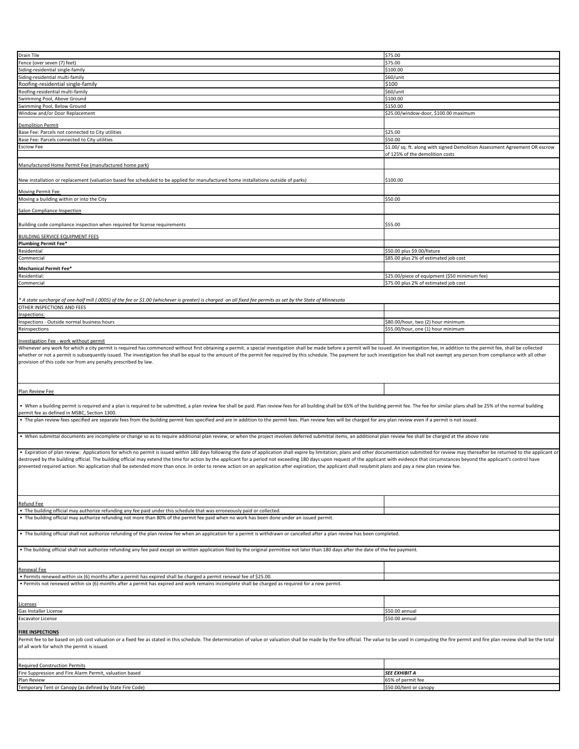| <b>Drain Tile</b>                                                                                                                                                                                                                                                                                                                                                                                                                                                                                                                                                                                                                                                              | \$75.00                                                                    |
|--------------------------------------------------------------------------------------------------------------------------------------------------------------------------------------------------------------------------------------------------------------------------------------------------------------------------------------------------------------------------------------------------------------------------------------------------------------------------------------------------------------------------------------------------------------------------------------------------------------------------------------------------------------------------------|----------------------------------------------------------------------------|
| Fence (over seven (7) feet)                                                                                                                                                                                                                                                                                                                                                                                                                                                                                                                                                                                                                                                    | \$75.00                                                                    |
| Siding-residential single-family                                                                                                                                                                                                                                                                                                                                                                                                                                                                                                                                                                                                                                               | \$100.00                                                                   |
|                                                                                                                                                                                                                                                                                                                                                                                                                                                                                                                                                                                                                                                                                |                                                                            |
| Siding-residential multi-family                                                                                                                                                                                                                                                                                                                                                                                                                                                                                                                                                                                                                                                | \$60/unit                                                                  |
| Roofing-residential single-family                                                                                                                                                                                                                                                                                                                                                                                                                                                                                                                                                                                                                                              | \$100                                                                      |
| Roofing-residential multi-family                                                                                                                                                                                                                                                                                                                                                                                                                                                                                                                                                                                                                                               | \$60/unit                                                                  |
| Swimming Pool, Above Ground                                                                                                                                                                                                                                                                                                                                                                                                                                                                                                                                                                                                                                                    | \$100.00                                                                   |
| Swimming Pool, Below Ground                                                                                                                                                                                                                                                                                                                                                                                                                                                                                                                                                                                                                                                    | \$150.00                                                                   |
|                                                                                                                                                                                                                                                                                                                                                                                                                                                                                                                                                                                                                                                                                |                                                                            |
| Window and/or Door Replacement                                                                                                                                                                                                                                                                                                                                                                                                                                                                                                                                                                                                                                                 | \$25.00/window-door, \$100.00 maximum                                      |
|                                                                                                                                                                                                                                                                                                                                                                                                                                                                                                                                                                                                                                                                                |                                                                            |
| <b>Demolition Permit</b>                                                                                                                                                                                                                                                                                                                                                                                                                                                                                                                                                                                                                                                       |                                                                            |
| Base Fee: Parcels not connected to City utilities                                                                                                                                                                                                                                                                                                                                                                                                                                                                                                                                                                                                                              | \$25.00                                                                    |
| Base Fee: Parcels connected to City utilities                                                                                                                                                                                                                                                                                                                                                                                                                                                                                                                                                                                                                                  | \$50.00                                                                    |
|                                                                                                                                                                                                                                                                                                                                                                                                                                                                                                                                                                                                                                                                                | \$1.00/sq. ft. along with signed Demolition Assessment Agreement OR escrow |
| <b>Escrow Fee</b>                                                                                                                                                                                                                                                                                                                                                                                                                                                                                                                                                                                                                                                              |                                                                            |
|                                                                                                                                                                                                                                                                                                                                                                                                                                                                                                                                                                                                                                                                                | of 125% of the demolition costs                                            |
|                                                                                                                                                                                                                                                                                                                                                                                                                                                                                                                                                                                                                                                                                |                                                                            |
| Manufactured Home Permit Fee (manufactured home park)                                                                                                                                                                                                                                                                                                                                                                                                                                                                                                                                                                                                                          |                                                                            |
|                                                                                                                                                                                                                                                                                                                                                                                                                                                                                                                                                                                                                                                                                |                                                                            |
| New installation or replacement (valuation based fee scheduled to be applied for manufactured home installations outside of parks)                                                                                                                                                                                                                                                                                                                                                                                                                                                                                                                                             | \$100.00                                                                   |
|                                                                                                                                                                                                                                                                                                                                                                                                                                                                                                                                                                                                                                                                                |                                                                            |
| <b>Moving Permit Fee</b>                                                                                                                                                                                                                                                                                                                                                                                                                                                                                                                                                                                                                                                       |                                                                            |
| Moving a building within or into the City                                                                                                                                                                                                                                                                                                                                                                                                                                                                                                                                                                                                                                      | \$50.00                                                                    |
|                                                                                                                                                                                                                                                                                                                                                                                                                                                                                                                                                                                                                                                                                |                                                                            |
| Salon Compliance Inspection                                                                                                                                                                                                                                                                                                                                                                                                                                                                                                                                                                                                                                                    |                                                                            |
|                                                                                                                                                                                                                                                                                                                                                                                                                                                                                                                                                                                                                                                                                |                                                                            |
|                                                                                                                                                                                                                                                                                                                                                                                                                                                                                                                                                                                                                                                                                |                                                                            |
| Building code compliance inspection when required for license requirements                                                                                                                                                                                                                                                                                                                                                                                                                                                                                                                                                                                                     | \$55.00                                                                    |
|                                                                                                                                                                                                                                                                                                                                                                                                                                                                                                                                                                                                                                                                                |                                                                            |
| <b>BUILDING SERVICE EQUIPMENT FEES</b>                                                                                                                                                                                                                                                                                                                                                                                                                                                                                                                                                                                                                                         |                                                                            |
| <b>Plumbing Permit Fee*</b>                                                                                                                                                                                                                                                                                                                                                                                                                                                                                                                                                                                                                                                    |                                                                            |
| Residential                                                                                                                                                                                                                                                                                                                                                                                                                                                                                                                                                                                                                                                                    | \$50.00 plus \$9.00/fixture                                                |
|                                                                                                                                                                                                                                                                                                                                                                                                                                                                                                                                                                                                                                                                                |                                                                            |
| Commercial                                                                                                                                                                                                                                                                                                                                                                                                                                                                                                                                                                                                                                                                     | \$85.00 plus 2% of estimated job cost                                      |
|                                                                                                                                                                                                                                                                                                                                                                                                                                                                                                                                                                                                                                                                                |                                                                            |
| <b>Mechanical Permit Fee*</b>                                                                                                                                                                                                                                                                                                                                                                                                                                                                                                                                                                                                                                                  |                                                                            |
| Residential:                                                                                                                                                                                                                                                                                                                                                                                                                                                                                                                                                                                                                                                                   | \$25.00/piece of equipment (\$50 minimum fee)                              |
| Commercial                                                                                                                                                                                                                                                                                                                                                                                                                                                                                                                                                                                                                                                                     | \$75.00 plus 2% of estimated job cost                                      |
|                                                                                                                                                                                                                                                                                                                                                                                                                                                                                                                                                                                                                                                                                |                                                                            |
|                                                                                                                                                                                                                                                                                                                                                                                                                                                                                                                                                                                                                                                                                |                                                                            |
| * A state surcharge of one-half mill (.0005) of the fee or \$1.00 (whichever is greater) is charged  on all fixed fee permits as set by the State of Minnesota                                                                                                                                                                                                                                                                                                                                                                                                                                                                                                                 |                                                                            |
| OTHER INSPECTIONS AND FEES                                                                                                                                                                                                                                                                                                                                                                                                                                                                                                                                                                                                                                                     |                                                                            |
|                                                                                                                                                                                                                                                                                                                                                                                                                                                                                                                                                                                                                                                                                |                                                                            |
| Inspections:                                                                                                                                                                                                                                                                                                                                                                                                                                                                                                                                                                                                                                                                   |                                                                            |
| Inspections - Outside normal business hours                                                                                                                                                                                                                                                                                                                                                                                                                                                                                                                                                                                                                                    | \$80.00/hour, two (2) hour minimum                                         |
| Reinspections                                                                                                                                                                                                                                                                                                                                                                                                                                                                                                                                                                                                                                                                  | \$55.00/hour, one (1) hour minimum                                         |
|                                                                                                                                                                                                                                                                                                                                                                                                                                                                                                                                                                                                                                                                                |                                                                            |
|                                                                                                                                                                                                                                                                                                                                                                                                                                                                                                                                                                                                                                                                                |                                                                            |
| Investigation Fee - work without permit                                                                                                                                                                                                                                                                                                                                                                                                                                                                                                                                                                                                                                        |                                                                            |
| Whenever any work for which a city permit is required has commenced without first obtaining a permit, a special investigation shall be made before a permit will be issued. An investigation fee, in addition to the permit fe                                                                                                                                                                                                                                                                                                                                                                                                                                                 |                                                                            |
| provision of this code nor from any penalty prescribed by law.                                                                                                                                                                                                                                                                                                                                                                                                                                                                                                                                                                                                                 |                                                                            |
|                                                                                                                                                                                                                                                                                                                                                                                                                                                                                                                                                                                                                                                                                |                                                                            |
|                                                                                                                                                                                                                                                                                                                                                                                                                                                                                                                                                                                                                                                                                |                                                                            |
| Plan Review Fee                                                                                                                                                                                                                                                                                                                                                                                                                                                                                                                                                                                                                                                                |                                                                            |
|                                                                                                                                                                                                                                                                                                                                                                                                                                                                                                                                                                                                                                                                                |                                                                            |
|                                                                                                                                                                                                                                                                                                                                                                                                                                                                                                                                                                                                                                                                                |                                                                            |
| • When a building permit is required and a plan is required to be submitted, a plan review fee shall be paid. Plan review fees for all building shall be 65% of the building permit fee. The fee for similar plans shall be 25                                                                                                                                                                                                                                                                                                                                                                                                                                                 |                                                                            |
| permit fee as defined in MSBC, Section 1300.                                                                                                                                                                                                                                                                                                                                                                                                                                                                                                                                                                                                                                   |                                                                            |
| • The plan review fees specified are separate fees from the building permit fees specified and are in addition to the permit fees. Plan review fees will be charged for any plan review even if a permit is not issued.                                                                                                                                                                                                                                                                                                                                                                                                                                                        |                                                                            |
|                                                                                                                                                                                                                                                                                                                                                                                                                                                                                                                                                                                                                                                                                |                                                                            |
|                                                                                                                                                                                                                                                                                                                                                                                                                                                                                                                                                                                                                                                                                |                                                                            |
| • When submittal documents are incomplete or change so as to require additional plan review, or when the project involves deferred submittal items, an additional plan review fee shall be charged at the above rate                                                                                                                                                                                                                                                                                                                                                                                                                                                           |                                                                            |
|                                                                                                                                                                                                                                                                                                                                                                                                                                                                                                                                                                                                                                                                                |                                                                            |
|                                                                                                                                                                                                                                                                                                                                                                                                                                                                                                                                                                                                                                                                                |                                                                            |
| . Expiration of plan review: Applications for which no permit is issued within 180 days following the date of application shall expire by limitation; plans and other documentation submitted for review may thereafter be ret<br>destroyed by the building official. The building official may extend the time for action by the applicant for a period not exceeding 180 days upon request of the applicant with evidence that circumstances beyond the applic<br>prevented required action. No application shall be extended more than once. In order to renew action on an application after expiration, the applicant shall resubmit plans and pay a new plan review fee. |                                                                            |
|                                                                                                                                                                                                                                                                                                                                                                                                                                                                                                                                                                                                                                                                                |                                                                            |
|                                                                                                                                                                                                                                                                                                                                                                                                                                                                                                                                                                                                                                                                                |                                                                            |
|                                                                                                                                                                                                                                                                                                                                                                                                                                                                                                                                                                                                                                                                                |                                                                            |
| Refund Fee                                                                                                                                                                                                                                                                                                                                                                                                                                                                                                                                                                                                                                                                     |                                                                            |
|                                                                                                                                                                                                                                                                                                                                                                                                                                                                                                                                                                                                                                                                                |                                                                            |
| The building official may authorize refunding any fee paid under this schedule that was erroneously paid or collected.                                                                                                                                                                                                                                                                                                                                                                                                                                                                                                                                                         |                                                                            |
| • The building official may authorize refunding not more than 80% of the permit fee paid when no work has been done under an issued permit.                                                                                                                                                                                                                                                                                                                                                                                                                                                                                                                                    |                                                                            |
|                                                                                                                                                                                                                                                                                                                                                                                                                                                                                                                                                                                                                                                                                |                                                                            |
| The building official shall not authorize refunding of the plan review fee when an application for a permit is withdrawn or cancelled after a plan review has been completed.                                                                                                                                                                                                                                                                                                                                                                                                                                                                                                  |                                                                            |
|                                                                                                                                                                                                                                                                                                                                                                                                                                                                                                                                                                                                                                                                                |                                                                            |
| • The building official shall not authorize refunding any fee paid except on written application filed by the original permittee not later than 180 days after the date of the fee payment.                                                                                                                                                                                                                                                                                                                                                                                                                                                                                    |                                                                            |
|                                                                                                                                                                                                                                                                                                                                                                                                                                                                                                                                                                                                                                                                                |                                                                            |
|                                                                                                                                                                                                                                                                                                                                                                                                                                                                                                                                                                                                                                                                                |                                                                            |
| Renewal Fee                                                                                                                                                                                                                                                                                                                                                                                                                                                                                                                                                                                                                                                                    |                                                                            |
|                                                                                                                                                                                                                                                                                                                                                                                                                                                                                                                                                                                                                                                                                |                                                                            |
| Permits renewed within six (6) months after a permit has expired shall be charged a permit renewal fee of \$25.00<br>Permits not renewed within six (6) months after a permit has expired and work remains incomplete shall be charged as required for a new permit.                                                                                                                                                                                                                                                                                                                                                                                                           |                                                                            |
|                                                                                                                                                                                                                                                                                                                                                                                                                                                                                                                                                                                                                                                                                |                                                                            |
|                                                                                                                                                                                                                                                                                                                                                                                                                                                                                                                                                                                                                                                                                |                                                                            |
| Licenses                                                                                                                                                                                                                                                                                                                                                                                                                                                                                                                                                                                                                                                                       |                                                                            |
| Gas Installer License                                                                                                                                                                                                                                                                                                                                                                                                                                                                                                                                                                                                                                                          | \$50.00 annual                                                             |
|                                                                                                                                                                                                                                                                                                                                                                                                                                                                                                                                                                                                                                                                                |                                                                            |
| <b>Excavator License</b>                                                                                                                                                                                                                                                                                                                                                                                                                                                                                                                                                                                                                                                       | \$50.00 annual                                                             |
|                                                                                                                                                                                                                                                                                                                                                                                                                                                                                                                                                                                                                                                                                |                                                                            |
| <b>FIRE INSPECTIONS</b>                                                                                                                                                                                                                                                                                                                                                                                                                                                                                                                                                                                                                                                        |                                                                            |
| Permit fee to be based on job cost valuation or a fixed fee as stated in this schedule. The determination of value or valuation shall be made by the fire official. The value to be used in computing the fire permit and fire                                                                                                                                                                                                                                                                                                                                                                                                                                                 |                                                                            |
| of all work for which the permit is issued.                                                                                                                                                                                                                                                                                                                                                                                                                                                                                                                                                                                                                                    |                                                                            |
|                                                                                                                                                                                                                                                                                                                                                                                                                                                                                                                                                                                                                                                                                |                                                                            |
|                                                                                                                                                                                                                                                                                                                                                                                                                                                                                                                                                                                                                                                                                |                                                                            |
|                                                                                                                                                                                                                                                                                                                                                                                                                                                                                                                                                                                                                                                                                |                                                                            |
| <b>Required Construction Permits</b>                                                                                                                                                                                                                                                                                                                                                                                                                                                                                                                                                                                                                                           |                                                                            |
| Fire Suppression and Fire Alarm Permit, valuation based                                                                                                                                                                                                                                                                                                                                                                                                                                                                                                                                                                                                                        | <b>SEE EXHIBIT A</b>                                                       |
| Plan Review                                                                                                                                                                                                                                                                                                                                                                                                                                                                                                                                                                                                                                                                    | 65% of permit fee                                                          |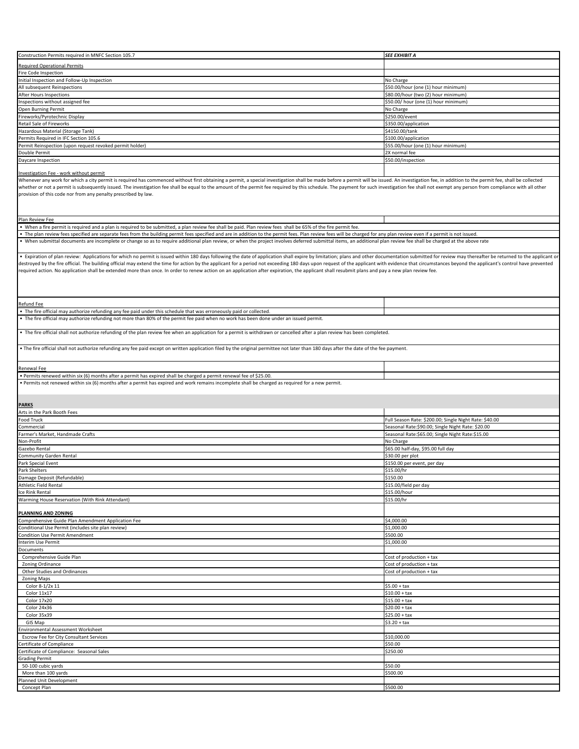| Construction Permits required in MNFC Section 105.7                                                                                                                                                                                                                                                                                                                                                                                                                                                                                                                                                                                                                  | SEE EXHIBIT A                                          |
|----------------------------------------------------------------------------------------------------------------------------------------------------------------------------------------------------------------------------------------------------------------------------------------------------------------------------------------------------------------------------------------------------------------------------------------------------------------------------------------------------------------------------------------------------------------------------------------------------------------------------------------------------------------------|--------------------------------------------------------|
|                                                                                                                                                                                                                                                                                                                                                                                                                                                                                                                                                                                                                                                                      |                                                        |
| Required Operational Permits                                                                                                                                                                                                                                                                                                                                                                                                                                                                                                                                                                                                                                         |                                                        |
| Fire Code Inspection                                                                                                                                                                                                                                                                                                                                                                                                                                                                                                                                                                                                                                                 |                                                        |
| Initial Inspection and Follow-Up Inspection                                                                                                                                                                                                                                                                                                                                                                                                                                                                                                                                                                                                                          | No Charge                                              |
| All subsequent Reinspections                                                                                                                                                                                                                                                                                                                                                                                                                                                                                                                                                                                                                                         | \$50.00/hour (one (1) hour minimum)                    |
| After Hours Inspections                                                                                                                                                                                                                                                                                                                                                                                                                                                                                                                                                                                                                                              | \$80.00/hour (two (2) hour minimum)                    |
| Inspections without assigned fee                                                                                                                                                                                                                                                                                                                                                                                                                                                                                                                                                                                                                                     | \$50.00/ hour (one (1) hour minimum)                   |
| Open Burning Permit                                                                                                                                                                                                                                                                                                                                                                                                                                                                                                                                                                                                                                                  | No Charge                                              |
| Fireworks/Pyrotechnic Display                                                                                                                                                                                                                                                                                                                                                                                                                                                                                                                                                                                                                                        | \$250.00/event                                         |
| Retail Sale of Fireworks                                                                                                                                                                                                                                                                                                                                                                                                                                                                                                                                                                                                                                             | \$350.00/application                                   |
| Hazardous Material (Storage Tank)                                                                                                                                                                                                                                                                                                                                                                                                                                                                                                                                                                                                                                    | \$4150.00/tank                                         |
|                                                                                                                                                                                                                                                                                                                                                                                                                                                                                                                                                                                                                                                                      |                                                        |
| Permits Required in IFC Section 105.6                                                                                                                                                                                                                                                                                                                                                                                                                                                                                                                                                                                                                                | \$100.00/application                                   |
| Permit Reinspection (upon request revoked permit holder)                                                                                                                                                                                                                                                                                                                                                                                                                                                                                                                                                                                                             | \$55.00/hour (one (1) hour minimum)                    |
| Double Permit                                                                                                                                                                                                                                                                                                                                                                                                                                                                                                                                                                                                                                                        | 2X normal fee                                          |
| Daycare Inspection                                                                                                                                                                                                                                                                                                                                                                                                                                                                                                                                                                                                                                                   | \$50.00/inspection                                     |
|                                                                                                                                                                                                                                                                                                                                                                                                                                                                                                                                                                                                                                                                      |                                                        |
| Investigation Fee - work without permit<br>Whenever any work for which a city permit is required has commenced without first obtaining a permit, a special investigation shall be made before a permit will be issued. An investigation fee, in addition to the permit fe<br>whether or not a permit is subsequently issued. The investigation fee shall be equal to the amount of the permit fee required by this schedule. The payment for such investigation fee shall not exempt any person from compli<br>provision of this code nor from any penalty prescribed by law.                                                                                        |                                                        |
| Plan Review Fee                                                                                                                                                                                                                                                                                                                                                                                                                                                                                                                                                                                                                                                      |                                                        |
| . When a fire permit is required and a plan is required to be submitted, a plan review fee shall be paid. Plan review fees shall be 65% of the fire permit fee.                                                                                                                                                                                                                                                                                                                                                                                                                                                                                                      |                                                        |
| • The plan review fees specified are separate fees from the building permit fees specified and are in addition to the permit fees. Plan review fees will be charged for any plan review even if a permit is not issued.                                                                                                                                                                                                                                                                                                                                                                                                                                              |                                                        |
| . When submittal documents are incomplete or change so as to require additional plan review, or when the project involves deferred submittal items, an additional plan review fee shall be charged at the above rate                                                                                                                                                                                                                                                                                                                                                                                                                                                 |                                                        |
| • Expiration of plan review: Applications for which no permit is issued within 180 days following the date of application shall expire by limitation; plans and other documentation submitted for review may thereafter be ret<br>destroyed by the fire official. The building official may extend the time for action by the applicant for a period not exceeding 180 days upon request of the applicant with evidence that circumstances beyond the applicant'<br>required action. No application shall be extended more than once. In order to renew action on an application after expiration, the applicant shall resubmit plans and pay a new plan review fee. |                                                        |
| Refund Fee                                                                                                                                                                                                                                                                                                                                                                                                                                                                                                                                                                                                                                                           |                                                        |
| The fire official may authorize refunding any fee paid under this schedule that was erroneously paid or collected.                                                                                                                                                                                                                                                                                                                                                                                                                                                                                                                                                   |                                                        |
| • The fire official may authorize refunding not more than 80% of the permit fee paid when no work has been done under an issued permit.                                                                                                                                                                                                                                                                                                                                                                                                                                                                                                                              |                                                        |
| • The fire official shall not authorize refunding of the plan review fee when an application for a permit is withdrawn or cancelled after a plan review has been completed.                                                                                                                                                                                                                                                                                                                                                                                                                                                                                          |                                                        |
| . The fire official shall not authorize refunding any fee paid except on written application filed by the original permittee not later than 180 days after the date of the fee payment.                                                                                                                                                                                                                                                                                                                                                                                                                                                                              |                                                        |
|                                                                                                                                                                                                                                                                                                                                                                                                                                                                                                                                                                                                                                                                      |                                                        |
|                                                                                                                                                                                                                                                                                                                                                                                                                                                                                                                                                                                                                                                                      |                                                        |
| Renewal Fee                                                                                                                                                                                                                                                                                                                                                                                                                                                                                                                                                                                                                                                          |                                                        |
| • Permits renewed within six (6) months after a permit has expired shall be charged a permit renewal fee of \$25.00.<br>. Permits not renewed within six (6) months after a permit has expired and work remains incomplete shall be charged as required for a new permit.                                                                                                                                                                                                                                                                                                                                                                                            |                                                        |
| <b>PARKS</b>                                                                                                                                                                                                                                                                                                                                                                                                                                                                                                                                                                                                                                                         |                                                        |
| Arts in the Park Booth Fees                                                                                                                                                                                                                                                                                                                                                                                                                                                                                                                                                                                                                                          |                                                        |
| Food Truck                                                                                                                                                                                                                                                                                                                                                                                                                                                                                                                                                                                                                                                           | Full Season Rate: \$200.00; Single Night Rate: \$40.00 |
|                                                                                                                                                                                                                                                                                                                                                                                                                                                                                                                                                                                                                                                                      |                                                        |
| Commercial                                                                                                                                                                                                                                                                                                                                                                                                                                                                                                                                                                                                                                                           | Seasonal Rate:\$90.00; Single Night Rate: \$20.00      |
| Farmer's Market, Handmade Crafts                                                                                                                                                                                                                                                                                                                                                                                                                                                                                                                                                                                                                                     | Seasonal Rate:\$65.00; Single Night Rate:\$15.00       |
| Non-Profit                                                                                                                                                                                                                                                                                                                                                                                                                                                                                                                                                                                                                                                           | No Charge                                              |
| Gazebo Rental                                                                                                                                                                                                                                                                                                                                                                                                                                                                                                                                                                                                                                                        | \$65.00 half-day, \$95.00 full day                     |
| <b>Community Garden Rental</b>                                                                                                                                                                                                                                                                                                                                                                                                                                                                                                                                                                                                                                       | \$30.00 per plot                                       |
| Park Special Event                                                                                                                                                                                                                                                                                                                                                                                                                                                                                                                                                                                                                                                   | \$150.00 per event, per day                            |
| Park Shelters                                                                                                                                                                                                                                                                                                                                                                                                                                                                                                                                                                                                                                                        | \$15.00/hr                                             |
| Damage Deposit (Refundable)                                                                                                                                                                                                                                                                                                                                                                                                                                                                                                                                                                                                                                          | \$150.00                                               |
| Athletic Field Rental                                                                                                                                                                                                                                                                                                                                                                                                                                                                                                                                                                                                                                                | \$15.00/field per day                                  |
| Ice Rink Rental                                                                                                                                                                                                                                                                                                                                                                                                                                                                                                                                                                                                                                                      | \$15.00/hour                                           |
|                                                                                                                                                                                                                                                                                                                                                                                                                                                                                                                                                                                                                                                                      |                                                        |
| Warming House Reservation (With Rink Attendant)<br>PLANNING AND ZONING                                                                                                                                                                                                                                                                                                                                                                                                                                                                                                                                                                                               | \$15.00/hr                                             |
| Comprehensive Guide Plan Amendment Application Fee                                                                                                                                                                                                                                                                                                                                                                                                                                                                                                                                                                                                                   | \$4,000.00                                             |
| Conditional Use Permit (includes site plan review)                                                                                                                                                                                                                                                                                                                                                                                                                                                                                                                                                                                                                   | \$1,000.00                                             |
| Condition Use Permit Amendment                                                                                                                                                                                                                                                                                                                                                                                                                                                                                                                                                                                                                                       | \$500.00                                               |
|                                                                                                                                                                                                                                                                                                                                                                                                                                                                                                                                                                                                                                                                      |                                                        |
| nterim Use Permit<br>Documents                                                                                                                                                                                                                                                                                                                                                                                                                                                                                                                                                                                                                                       | \$1,000.00                                             |
|                                                                                                                                                                                                                                                                                                                                                                                                                                                                                                                                                                                                                                                                      |                                                        |
| Comprehensive Guide Plan                                                                                                                                                                                                                                                                                                                                                                                                                                                                                                                                                                                                                                             | Cost of production + tax                               |
| Zoning Ordinance                                                                                                                                                                                                                                                                                                                                                                                                                                                                                                                                                                                                                                                     | Cost of production + tax                               |
| Other Studies and Ordinances                                                                                                                                                                                                                                                                                                                                                                                                                                                                                                                                                                                                                                         | Cost of production + tax                               |
| <b>Zoning Maps</b>                                                                                                                                                                                                                                                                                                                                                                                                                                                                                                                                                                                                                                                   |                                                        |
| Color 8-1/2x 11                                                                                                                                                                                                                                                                                                                                                                                                                                                                                                                                                                                                                                                      | $$5.00 + tax$                                          |
| Color 11x17                                                                                                                                                                                                                                                                                                                                                                                                                                                                                                                                                                                                                                                          | $$10.00 + tax$                                         |
| Color 17x20                                                                                                                                                                                                                                                                                                                                                                                                                                                                                                                                                                                                                                                          | $$15.00 + tax$                                         |
| Color 24x36                                                                                                                                                                                                                                                                                                                                                                                                                                                                                                                                                                                                                                                          | $$20.00 + tax$                                         |
| Color 35x39                                                                                                                                                                                                                                                                                                                                                                                                                                                                                                                                                                                                                                                          | $$25.00 + tax$                                         |
| GIS Map                                                                                                                                                                                                                                                                                                                                                                                                                                                                                                                                                                                                                                                              | $$3.20 + tax$                                          |
| Environmental Assessment Worksheet                                                                                                                                                                                                                                                                                                                                                                                                                                                                                                                                                                                                                                   |                                                        |
|                                                                                                                                                                                                                                                                                                                                                                                                                                                                                                                                                                                                                                                                      |                                                        |
| Escrow Fee for City Consultant Services                                                                                                                                                                                                                                                                                                                                                                                                                                                                                                                                                                                                                              | \$10,000.00                                            |
| Certificate of Compliance                                                                                                                                                                                                                                                                                                                                                                                                                                                                                                                                                                                                                                            | \$50.00                                                |
| Certificate of Compliance: Seasonal Sales                                                                                                                                                                                                                                                                                                                                                                                                                                                                                                                                                                                                                            | \$250.00                                               |
| <b>Grading Permit</b>                                                                                                                                                                                                                                                                                                                                                                                                                                                                                                                                                                                                                                                |                                                        |
| 50-100 cubic yards                                                                                                                                                                                                                                                                                                                                                                                                                                                                                                                                                                                                                                                   | \$50.00                                                |
| More than 100 yards                                                                                                                                                                                                                                                                                                                                                                                                                                                                                                                                                                                                                                                  | \$500.00                                               |
| Planned Unit Development<br>Concept Plan                                                                                                                                                                                                                                                                                                                                                                                                                                                                                                                                                                                                                             | \$500.00                                               |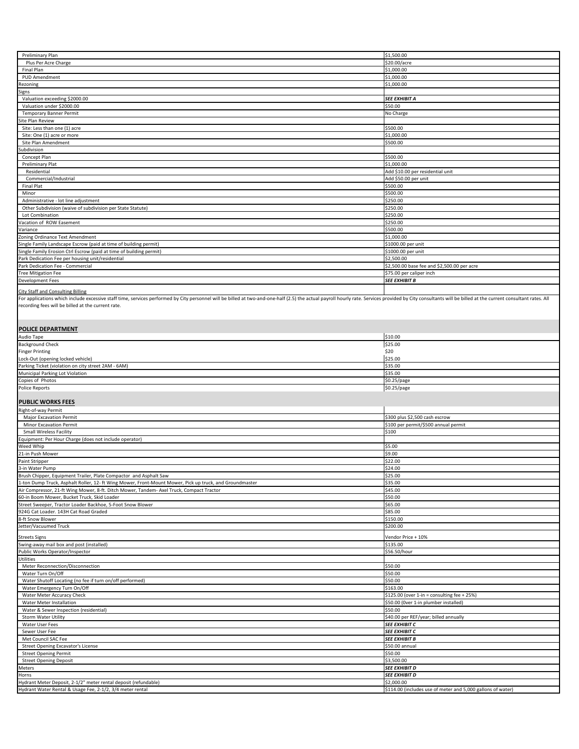| Preliminary Plan                                                                                                                                                                                                               | \$1,500.00                                                  |
|--------------------------------------------------------------------------------------------------------------------------------------------------------------------------------------------------------------------------------|-------------------------------------------------------------|
| Plus Per Acre Charge                                                                                                                                                                                                           | \$20.00/acre                                                |
| Final Plan                                                                                                                                                                                                                     | \$1,000.00                                                  |
|                                                                                                                                                                                                                                |                                                             |
| PUD Amendment                                                                                                                                                                                                                  | \$1,000.00                                                  |
| Rezoning                                                                                                                                                                                                                       | \$1,000.00                                                  |
| Signs                                                                                                                                                                                                                          |                                                             |
| Valuation exceeding \$2000.00                                                                                                                                                                                                  | <b>SEE EXHIBIT A</b>                                        |
|                                                                                                                                                                                                                                |                                                             |
| Valuation under \$2000.00                                                                                                                                                                                                      | \$50.00                                                     |
| <b>Temporary Banner Permit</b>                                                                                                                                                                                                 | No Charge                                                   |
| Site Plan Review                                                                                                                                                                                                               |                                                             |
|                                                                                                                                                                                                                                |                                                             |
| Site: Less than one (1) acre                                                                                                                                                                                                   | \$500.00                                                    |
| Site: One (1) acre or more                                                                                                                                                                                                     | \$1,000.00                                                  |
| Site Plan Amendment                                                                                                                                                                                                            | \$500.00                                                    |
|                                                                                                                                                                                                                                |                                                             |
| Subdivision                                                                                                                                                                                                                    |                                                             |
| Concept Plan                                                                                                                                                                                                                   | \$500.00                                                    |
|                                                                                                                                                                                                                                | \$1,000.00                                                  |
| Preliminary Plat                                                                                                                                                                                                               |                                                             |
| Residential                                                                                                                                                                                                                    | Add \$10.00 per residential unit                            |
| Commercial/Industrial                                                                                                                                                                                                          | Add \$50.00 per unit                                        |
| <b>Final Plat</b>                                                                                                                                                                                                              |                                                             |
|                                                                                                                                                                                                                                | \$500.00                                                    |
| Minor                                                                                                                                                                                                                          | \$500.00                                                    |
| Administrative - lot line adjustment                                                                                                                                                                                           | \$250.00                                                    |
|                                                                                                                                                                                                                                |                                                             |
| Other Subdivision (waive of subdivision per State Statute)                                                                                                                                                                     | \$250.00                                                    |
| Lot Combination                                                                                                                                                                                                                | \$250.00                                                    |
| Vacation of ROW Easement                                                                                                                                                                                                       | \$250.00                                                    |
|                                                                                                                                                                                                                                |                                                             |
| Variance                                                                                                                                                                                                                       | \$500.00                                                    |
| Zoning Ordinance Text Amendment                                                                                                                                                                                                | \$1,000.00                                                  |
| Single Family Landscape Escrow (paid at time of building permit)                                                                                                                                                               | \$1000.00 per unit                                          |
|                                                                                                                                                                                                                                |                                                             |
| Single Family Erosion Ctrl Escrow (paid at time of building permit)                                                                                                                                                            | \$1000.00 per unit                                          |
| Park Dedication Fee per housing unit/residential                                                                                                                                                                               | \$2,500.00                                                  |
|                                                                                                                                                                                                                                |                                                             |
| Park Dedication Fee - Commercial                                                                                                                                                                                               | \$2,500.00 base fee and \$2,500.00 per acre                 |
| <b>Tree Mitigation Fee</b>                                                                                                                                                                                                     | \$75.00 per caliper inch                                    |
| Development Fees                                                                                                                                                                                                               | <b>SEE EXHIBIT B</b>                                        |
|                                                                                                                                                                                                                                |                                                             |
| <b>City Staff and Consulting Billing</b>                                                                                                                                                                                       |                                                             |
|                                                                                                                                                                                                                                |                                                             |
| For applications which include excessive staff time, services performed by City personnel will be billed at two-and-one-half (2.5) the actual payroll hourly rate. Services provided by City consultants will be billed at the |                                                             |
| recording fees will be billed at the current rate.                                                                                                                                                                             |                                                             |
|                                                                                                                                                                                                                                |                                                             |
|                                                                                                                                                                                                                                |                                                             |
|                                                                                                                                                                                                                                |                                                             |
|                                                                                                                                                                                                                                |                                                             |
| <b>POLICE DEPARTMENT</b>                                                                                                                                                                                                       |                                                             |
| Audio Tape                                                                                                                                                                                                                     | \$10.00                                                     |
|                                                                                                                                                                                                                                | \$25.00                                                     |
| <b>Background Check</b>                                                                                                                                                                                                        |                                                             |
| <b>Finger Printing</b>                                                                                                                                                                                                         | \$20                                                        |
| Lock-Out (opening locked vehicle)                                                                                                                                                                                              | \$25.00                                                     |
|                                                                                                                                                                                                                                |                                                             |
| Parking Ticket (violation on city street 2AM - 6AM)                                                                                                                                                                            | \$35.00                                                     |
|                                                                                                                                                                                                                                |                                                             |
| Municipal Parking Lot Violation                                                                                                                                                                                                | \$35.00                                                     |
|                                                                                                                                                                                                                                |                                                             |
| Copies of Photos                                                                                                                                                                                                               | \$0.25/page                                                 |
| Police Reports                                                                                                                                                                                                                 | \$0.25/page                                                 |
|                                                                                                                                                                                                                                |                                                             |
|                                                                                                                                                                                                                                |                                                             |
| <b>PUBLIC WORKS FEES</b>                                                                                                                                                                                                       |                                                             |
| Right-of-way Permit                                                                                                                                                                                                            |                                                             |
|                                                                                                                                                                                                                                |                                                             |
| <b>Major Excavation Permit</b>                                                                                                                                                                                                 | \$300 plus \$2,500 cash escrow                              |
| Minor Excavation Permit                                                                                                                                                                                                        | \$100 per permit/\$500 annual permit                        |
| <b>Small Wireless Facility</b>                                                                                                                                                                                                 | \$100                                                       |
|                                                                                                                                                                                                                                |                                                             |
| Equipment: Per Hour Charge (does not include operator)                                                                                                                                                                         |                                                             |
| Weed Whip                                                                                                                                                                                                                      | \$5.00                                                      |
| 21-in Push Mower                                                                                                                                                                                                               | \$9.00                                                      |
|                                                                                                                                                                                                                                |                                                             |
| Paint Stripper                                                                                                                                                                                                                 | \$22.00                                                     |
| 3-in Water Pump                                                                                                                                                                                                                | \$24.00                                                     |
| Brush Chipper, Equipment Trailer, Plate Compactor and Asphalt Saw                                                                                                                                                              | \$25.00                                                     |
|                                                                                                                                                                                                                                |                                                             |
| 1-ton Dump Truck, Asphalt Roller, 12- ft Wing Mower, Front-Mount Mower, Pick up truck, and Groundmaster                                                                                                                        | \$35.00                                                     |
| Air Compressor, 21-ft Wing Mower, 8-ft. Ditch Mower, Tandem- Axel Truck, Compact Tractor                                                                                                                                       | \$45.00                                                     |
| 60-in Boom Mower, Bucket Truck, Skid Loader                                                                                                                                                                                    | \$50.00                                                     |
|                                                                                                                                                                                                                                |                                                             |
| Street Sweeper, Tractor Loader Backhoe, 5-Foot Snow Blower                                                                                                                                                                     | \$65.00                                                     |
| 924G Cat Loader. 143H Cat Road Graded                                                                                                                                                                                          | \$85.00                                                     |
| 8-ft Snow Blower                                                                                                                                                                                                               | \$150.00                                                    |
|                                                                                                                                                                                                                                |                                                             |
| Jetter/Vacuumed Truck                                                                                                                                                                                                          | \$200.00                                                    |
|                                                                                                                                                                                                                                |                                                             |
| <b>Streets Signs</b>                                                                                                                                                                                                           | Vendor Price + 10%                                          |
| Swing-away mail box and post (installed)                                                                                                                                                                                       | \$135.00                                                    |
| Public Works Operator/Inspector                                                                                                                                                                                                |                                                             |
|                                                                                                                                                                                                                                | \$56.50/hour                                                |
| Utilities                                                                                                                                                                                                                      |                                                             |
| Meter Reconnection/Disconnection                                                                                                                                                                                               | \$50.00                                                     |
|                                                                                                                                                                                                                                |                                                             |
| Water Turn On/Off                                                                                                                                                                                                              | \$50.00                                                     |
| Water Shutoff Locating (no fee if turn on/off performed)                                                                                                                                                                       | \$50.00                                                     |
| Water Emergency Turn On/Off                                                                                                                                                                                                    | \$163.00                                                    |
|                                                                                                                                                                                                                                |                                                             |
| Water Meter Accuracy Check                                                                                                                                                                                                     | \$125.00 (over 1-in = consulting fee + 25%)                 |
| Water Meter Installation                                                                                                                                                                                                       | \$50.00 (Over 1-in plumber installed)                       |
|                                                                                                                                                                                                                                |                                                             |
| Water & Sewer Inspection (residential)                                                                                                                                                                                         | \$50.00                                                     |
| Storm Water Utility                                                                                                                                                                                                            | \$40.00 per REF/year; billed annually                       |
| Water User Fees                                                                                                                                                                                                                | <b>SEE EXHIBIT C</b>                                        |
|                                                                                                                                                                                                                                |                                                             |
| Sewer User Fee                                                                                                                                                                                                                 | SEE EXHIBIT C                                               |
| Met Council SAC Fee                                                                                                                                                                                                            | <b>SEE EXHIBIT B</b>                                        |
| Street Opening Excavator's License                                                                                                                                                                                             | \$50.00 annual                                              |
|                                                                                                                                                                                                                                |                                                             |
| <b>Street Opening Permit</b>                                                                                                                                                                                                   | \$50.00                                                     |
| <b>Street Opening Deposit</b>                                                                                                                                                                                                  | \$3,500.00                                                  |
|                                                                                                                                                                                                                                |                                                             |
| Meters                                                                                                                                                                                                                         | <b>SEE EXHIBIT D</b>                                        |
| Horns                                                                                                                                                                                                                          | <b>SEE EXHIBIT D</b>                                        |
| Hydrant Meter Deposit, 2-1/2" meter rental deposit (refundable)                                                                                                                                                                | \$2,000.00                                                  |
| Hydrant Water Rental & Usage Fee, 2-1/2, 3/4 meter rental                                                                                                                                                                      | \$114.00 (includes use of meter and 5,000 gallons of water) |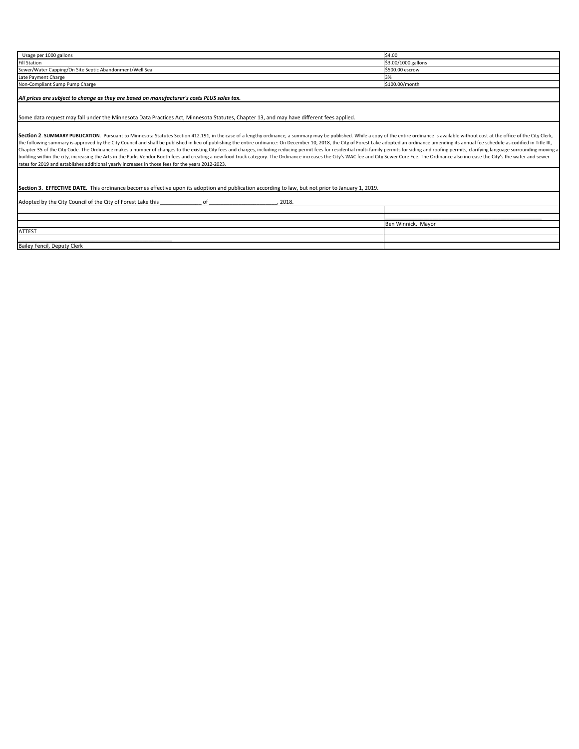| Usage per 1000 gallons                                                                                                                                                                                                         | \$4.00              |
|--------------------------------------------------------------------------------------------------------------------------------------------------------------------------------------------------------------------------------|---------------------|
| <b>Fill Station</b>                                                                                                                                                                                                            | \$3.00/1000 gallons |
| Sewer/Water Capping/On Site Septic Abandonment/Well Seal                                                                                                                                                                       | \$500.00 escrow     |
| Late Payment Charge                                                                                                                                                                                                            | 3%                  |
| Non-Compliant Sump Pump Charge                                                                                                                                                                                                 | \$100.00/month      |
| All prices are subject to change as they are based on manufacturer's costs PLUS sales tax.                                                                                                                                     |                     |
|                                                                                                                                                                                                                                |                     |
| Some data request may fall under the Minnesota Data Practices Act, Minnesota Statutes, Chapter 13, and may have different fees applied.                                                                                        |                     |
|                                                                                                                                                                                                                                |                     |
| Section 2. SUMMARY PUBLICATION. Pursuant to Minnesota Statutes Section 412.191, in the case of a lengthy ordinance, a summary may be published. While a copy of the entire ordinance is available without cost at the office o |                     |
| the following summary is approved by the City Council and shall be published in lieu of publishing the entire ordinance: On December 10, 2018, the City of Forest Lake adopted an ordinance amending its annual fee schedule a |                     |
| Chapter 35 of the City Code. The Ordinance makes a number of changes to the existing City fees and charges, including reducing permit fees for residential multi-family permits for siding and roofing permits, clarifying lan |                     |
| building within the city, increasing the Arts in the Parks Vendor Booth fees and creating a new food truck category. The Ordinance increases the City's WAC fee and City Sewer Core Fee. The Ordinance also increase the City' |                     |
| rates for 2019 and establishes additional yearly increases in those fees for the years 2012-2023.                                                                                                                              |                     |
|                                                                                                                                                                                                                                |                     |
|                                                                                                                                                                                                                                |                     |
| Section 3. EFFECTIVE DATE. This ordinance becomes effective upon its adoption and publication according to law, but not prior to January 1, 2019.                                                                              |                     |
|                                                                                                                                                                                                                                |                     |
| Adopted by the City Council of the City of Forest Lake this<br>of<br>2018.                                                                                                                                                     |                     |
|                                                                                                                                                                                                                                |                     |
|                                                                                                                                                                                                                                |                     |
|                                                                                                                                                                                                                                | Ben Winnick, Mayor  |
| <b>ATTEST</b>                                                                                                                                                                                                                  |                     |
|                                                                                                                                                                                                                                |                     |
| Bailey Fencil, Deputy Clerk                                                                                                                                                                                                    |                     |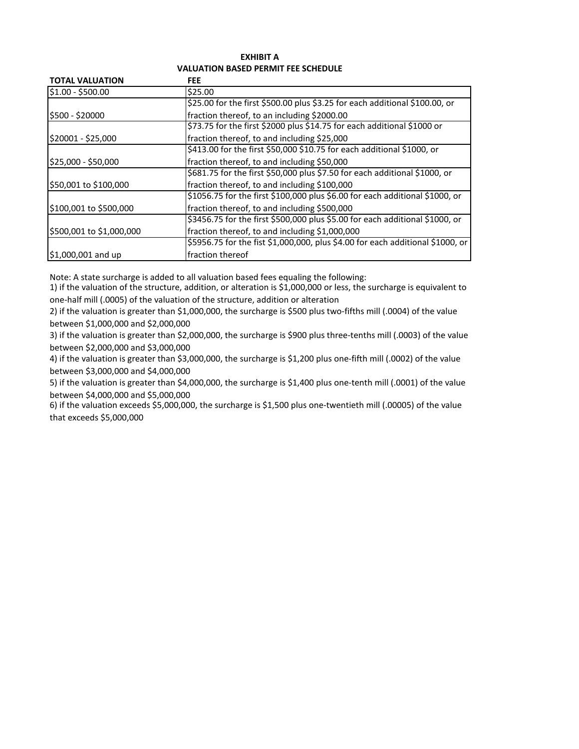## **EXHIBIT A VALUATION BASED PERMIT FEE SCHEDULE**

| <b>TOTAL VALUATION</b>       | <b>FEE</b>                                                                     |
|------------------------------|--------------------------------------------------------------------------------|
| \$1.00 - \$500.00            | \$25.00                                                                        |
|                              | \$25.00 for the first \$500.00 plus \$3.25 for each additional \$100.00, or    |
| \$500 - \$20000              | fraction thereof, to an including \$2000.00                                    |
|                              | \$73.75 for the first \$2000 plus \$14.75 for each additional \$1000 or        |
| \$20001 - \$25,000           | fraction thereof, to and including \$25,000                                    |
|                              | \$413.00 for the first \$50,000 \$10.75 for each additional \$1000, or         |
| \$25,000 - \$50,000          | fraction thereof, to and including \$50,000                                    |
|                              | \$681.75 for the first \$50,000 plus \$7.50 for each additional \$1000, or     |
| \$50,001 to \$100,000        | fraction thereof, to and including \$100,000                                   |
|                              | \$1056.75 for the first \$100,000 plus \$6.00 for each additional \$1000, or   |
| \$100,001 to \$500,000       | fraction thereof, to and including \$500,000                                   |
|                              | \$3456.75 for the first \$500,000 plus \$5.00 for each additional \$1000, or   |
| \$500,001 to \$1,000,000     | fraction thereof, to and including \$1,000,000                                 |
|                              | \$5956.75 for the fist \$1,000,000, plus \$4.00 for each additional \$1000, or |
| $\textsf{S}1,000,001$ and up | fraction thereof                                                               |

Note: A state surcharge is added to all valuation based fees equaling the following:

1) if the valuation of the structure, addition, or alteration is \$1,000,000 or less, the surcharge is equivalent to one-half mill (.0005) of the valuation of the structure, addition or alteration

2) if the valuation is greater than \$1,000,000, the surcharge is \$500 plus two-fifths mill (.0004) of the value between \$1,000,000 and \$2,000,000

3) if the valuation is greater than \$2,000,000, the surcharge is \$900 plus three-tenths mill (.0003) of the value between \$2,000,000 and \$3,000,000

4) if the valuation is greater than \$3,000,000, the surcharge is \$1,200 plus one-fifth mill (.0002) of the value between \$3,000,000 and \$4,000,000

5) if the valuation is greater than \$4,000,000, the surcharge is \$1,400 plus one-tenth mill (.0001) of the value between \$4,000,000 and \$5,000,000

6) if the valuation exceeds \$5,000,000, the surcharge is \$1,500 plus one-twentieth mill (.00005) of the value that exceeds \$5,000,000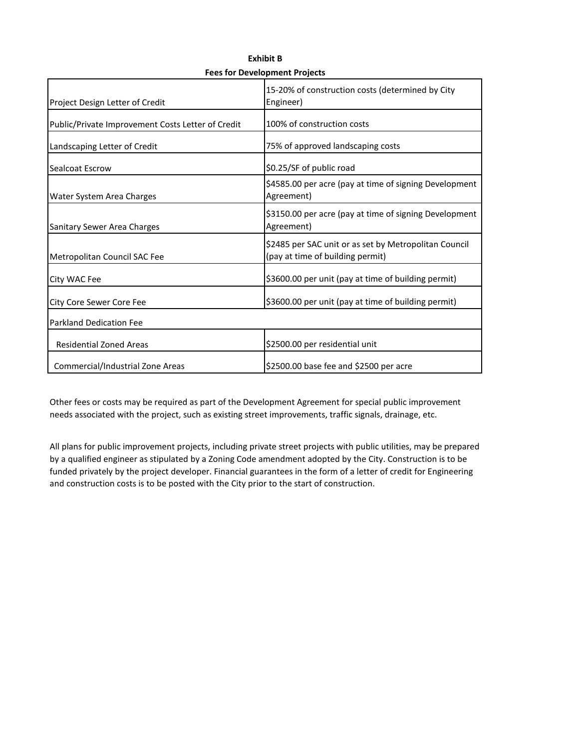| Project Design Letter of Credit                   | 15-20% of construction costs (determined by City<br>Engineer)                             |
|---------------------------------------------------|-------------------------------------------------------------------------------------------|
| Public/Private Improvement Costs Letter of Credit | 100% of construction costs                                                                |
| Landscaping Letter of Credit                      | 75% of approved landscaping costs                                                         |
| Sealcoat Escrow                                   | \$0.25/SF of public road                                                                  |
| Water System Area Charges                         | \$4585.00 per acre (pay at time of signing Development<br>Agreement)                      |
| <b>Sanitary Sewer Area Charges</b>                | \$3150.00 per acre (pay at time of signing Development<br>Agreement)                      |
| Metropolitan Council SAC Fee                      | \$2485 per SAC unit or as set by Metropolitan Council<br>(pay at time of building permit) |
| City WAC Fee                                      | \$3600.00 per unit (pay at time of building permit)                                       |
| City Core Sewer Core Fee                          | \$3600.00 per unit (pay at time of building permit)                                       |
| <b>Parkland Dedication Fee</b>                    |                                                                                           |
| <b>Residential Zoned Areas</b>                    | \$2500.00 per residential unit                                                            |
| Commercial/Industrial Zone Areas                  | \$2500.00 base fee and \$2500 per acre                                                    |

**Exhibit B Fees for Development Projects**

Other fees or costs may be required as part of the Development Agreement for special public improvement needs associated with the project, such as existing street improvements, traffic signals, drainage, etc.

All plans for public improvement projects, including private street projects with public utilities, may be prepared by a qualified engineer as stipulated by a Zoning Code amendment adopted by the City. Construction is to be funded privately by the project developer. Financial guarantees in the form of a letter of credit for Engineering and construction costs is to be posted with the City prior to the start of construction.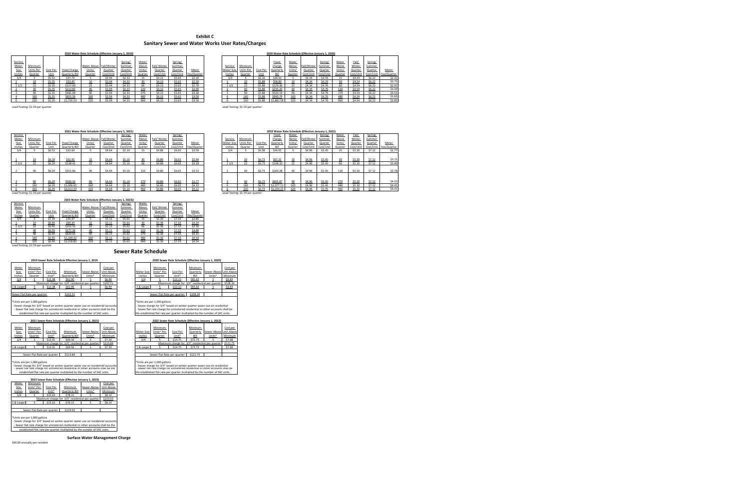|         |           |          |                     | 2019 Water Rate Schedule (Effective January 1, 2019) |             |           |         |              |           |             |            |           |          |            |         | 2020 Water Rate Schedule (Effective January 1, 2020) |         |         |         |         |                                 |
|---------|-----------|----------|---------------------|------------------------------------------------------|-------------|-----------|---------|--------------|-----------|-------------|------------|-----------|----------|------------|---------|------------------------------------------------------|---------|---------|---------|---------|---------------------------------|
|         |           |          |                     |                                                      |             |           |         |              |           |             |            |           |          |            |         |                                                      |         |         |         |         |                                 |
| Service |           |          |                     |                                                      |             | Spring/   | Water   |              | Spring/   |             |            |           |          | Fixed      | Water   |                                                      | Spring/ | Water   | Fall/   | Spring/ |                                 |
| Meter   | Minimum   |          |                     | Water Above                                          | Fall/Winter | Summer    | Above   | Fall/ Winter | Summer    |             | Service    | Minimum   |          | Charge     | Above   | Fall/Winter                                          | Summer  | Above   | Winter  | Summer  |                                 |
| Size    | Units Per | Cost Per | <b>Fixed Charge</b> | Units/                                               | Quarter     | Quarter   | Units/  | Quarter      | Quarter   | Meter       | Meter Size | Units Per | Cost Per | Quarterly  | Units/  | Quarter                                              | Quarter | Units/  | Quarter | Quarter | Meter                           |
| Inches  | Quarter   | l Init   | Ouarterly Bill      | Quarter                                              | Cost/Unit   | Cost/Unit | Quarter | Cost/Unit    | Cost/Unit | Fee/Quarter | Inches     | Quarter   | l Ini:   |            | Quarter | Cost/Unit Cost/Unit                                  |         | Quarter |         |         | Cost/Unit Cost/Unit Fee/Quarter |
| 3/4     |           | \$5.55   | \$27.73             |                                                      | \$3.94      | \$4.33    |         | \$4.13       | \$5.65    | \$2.20      | 3/4        |           | \$6.10   | \$30.50    |         | \$4.34                                               | \$4.76  |         | \$4.54  | \$6.22  | \$2.42                          |
|         |           | \$5.35   | \$53.45             |                                                      | \$3.94      | \$4.33    |         | \$4.13       | \$5.65    | \$2.50      |            |           | \$5.88   | \$58.80    |         | \$4.34                                               | \$4.76  |         | \$4.54  | \$6.22  | \$2.75                          |
|         |           | \$5.35   | \$117.60            |                                                      | \$3.94      | \$4.33    |         | \$4.13       | \$5.65    | \$2.70      |            |           | \$5.88   | \$129.36   |         | \$4.34                                               |         |         | \$4.54  | \$6.22  | \$2.97                          |
|         | 40        | \$5.35   | \$213.82            | -40                                                  | \$3.94      | \$4.33    | 120     | \$4.13       | \$5.65    | \$3.00      |            | 40        | \$5.88   | \$235.20   |         | \$4.34                                               | \$4.76  |         | \$4.54  | \$6.22  | \$3.30                          |
|         |           | \$5.35   | \$481.09            |                                                      | \$3.94      | \$4.33    | 270     | \$4.13       | \$5.65    | \$3.20      |            |           | \$5.88   | \$529.19   |         | \$4 34                                               |         |         | \$4.54  | \$6.22  | \$3.52                          |
|         | 160       | \$5.35   | \$855.26            |                                                      | \$3.94      | \$4.33    | 480     | \$4.13       | \$5.65    | \$3.50      |            |           | \$5.88   | \$940.79   |         | \$4.34                                               |         |         | \$4.54  | \$6.22  | \$3.85                          |
|         | 320       | \$5.35   | \$1,710.53          |                                                      | \$3.94      | \$4.33    | 960     | \$4.13       | \$5.65    | \$3.50      |            | 320       | \$5.88   | \$1,881.58 | 320     | \$4.34                                               | \$4.76  | 960     | \$4.54  | \$6.22  | \$3.85                          |

Lead Testing: \$1.59 per quarter Lead Testing: \$1.59 per quarter

| Lead Testing: \$1.59 per quarter |  |  |  |  |
|----------------------------------|--|--|--|--|
|----------------------------------|--|--|--|--|

|           |          |                     |                      |           | Spring/                                     | Water            |             |                  |                             |                                 |            |           |          | Fixed            | Water                                           |             | Spring/          | Water                         | Fall/      | Spring/          |                               |
|-----------|----------|---------------------|----------------------|-----------|---------------------------------------------|------------------|-------------|------------------|-----------------------------|---------------------------------|------------|-----------|----------|------------------|-------------------------------------------------|-------------|------------------|-------------------------------|------------|------------------|-------------------------------|
| Minimum   |          |                     |                      |           | Summer                                      | Above            | Fall/Winter | Summer           |                             |                                 | Service    | Minimum   |          | Charge           | Above                                           | Fall/Winter | Summer           | Above                         | Winter     | Summer           |                               |
| Units Per | Cost Per | <b>Fixed Charge</b> | Units/               | Quarter   | Quarter                                     | Units/           | Quarter     | Quarter          | Meter                       |                                 | Meter Size | Units Per | Cost Per | Quarterly        | Units/                                          | Quarter     | Quarter          | Units/                        | Quarter    | Quarter          | Meter                         |
| Quarter   |          | Quarterly Bill      | Quarter              | Cost/Unit | Cost/Unit                                   | Quarter          | Cost/Unit   | Cost/Unit        |                             |                                 | Inches     | Quarter   | Jnit     |                  | Quarter                                         | Cost/Unit   |                  | Quarter                       | Cost/Uni   |                  | Fee/Quarter                   |
|           | \$6.53   | \$32.64             |                      | \$4.64    | \$5.10                                      |                  | \$4.86      | \$6.65           | \$2.59                      |                                 |            |           | \$6.98   | \$34.92          |                                                 | \$4.96      | \$5.45           |                               | \$5.20     | \$7.12           | \$2.77                        |
|           |          |                     |                      |           |                                             |                  |             |                  |                             |                                 |            |           |          |                  |                                                 |             |                  |                               |            |                  |                               |
|           | \$6.29   | \$62.92             | 10                   | \$4.64    | \$5.10                                      | 30               | \$4.86      | \$6.65           | \$2.94                      |                                 |            |           | \$6.73   | \$67.32          |                                                 | \$4.96      | \$5.45           | 30                            | \$5.20     | \$7.12           | \$3.15                        |
|           | \$6.29   | \$138.41            | 22                   | \$4.64    | \$5.10                                      | 66               | \$4.86      | \$6.65           | \$3.18                      |                                 | 11/2       |           | \$6.73   | \$148.10         | 22                                              | \$4.96      | \$5.45           | 66                            | \$5.20     | \$7.12           | \$3.40                        |
|           |          |                     |                      |           |                                             |                  |             |                  |                             |                                 |            |           |          |                  |                                                 |             |                  |                               |            |                  |                               |
| 40        |          |                     | 40                   |           |                                             |                  |             |                  |                             |                                 |            | 40        |          |                  | 40                                              |             |                  |                               |            |                  | \$3.78                        |
|           |          |                     |                      |           |                                             |                  |             |                  |                             |                                 |            |           |          |                  |                                                 |             |                  |                               |            |                  |                               |
|           |          |                     |                      |           |                                             |                  |             |                  |                             |                                 |            |           |          |                  |                                                 |             |                  |                               |            |                  |                               |
|           |          |                     |                      |           |                                             |                  |             |                  |                             |                                 |            |           |          |                  |                                                 |             |                  |                               |            |                  | \$4.03                        |
| 160       | \$6.29   | \$1,006.65          | 160                  | \$4.64    | \$5.10                                      | 480              | \$4.86      | \$6.65           | \$4.12                      |                                 |            | 160       | \$6.73   |                  | 160                                             | \$4.96      | \$5.45           | 480                           | \$5.20     | \$7.12           | \$4.41                        |
|           | \$6.29   | \$2,013.29          | 320                  | \$4.64    | \$5.10                                      | 960              | \$4.86      | \$6.65           | \$4.12                      |                                 |            |           | \$6.73   |                  |                                                 | \$4.96      | \$5.45           | 960                           | \$5.20     | \$7.12           | \$4.41                        |
|           |          | \$6.29<br>\$6.29    | \$251.66<br>\$566.24 | ۹n        | Water Above Fall/Winter<br>\$4.64<br>\$4.64 | \$5.10<br>\$5.10 | 120<br>270  | \$4.86<br>\$4.86 | Spring/<br>\$6.65<br>\$6.65 | Fee/Quarter<br>\$3.53<br>\$3.77 |            |           |          | \$6.73<br>\$6.73 | \$269.28<br>\$605.8<br>\$1,077.11<br>\$2,154.22 |             | \$4.96<br>\$4.96 | Cost/Unit<br>\$5.45<br>\$5.45 | 120<br>270 | \$5.20<br>\$5.20 | Cost/Unit<br>\$7.12<br>\$7.12 |

|        |           |          |                | 2019 Water Rate Schedule (Effective January 1, 2019) |           |           |         |              |           |             | 2020 Water Rate Schedule (Effective January 1, 2020) |           |          |            |         |             |           |         |           |         |                       |
|--------|-----------|----------|----------------|------------------------------------------------------|-----------|-----------|---------|--------------|-----------|-------------|------------------------------------------------------|-----------|----------|------------|---------|-------------|-----------|---------|-----------|---------|-----------------------|
|        |           |          |                |                                                      |           |           |         |              |           |             |                                                      |           |          |            |         |             |           |         |           |         |                       |
| ervice |           |          |                |                                                      |           | Spring/   | Water   |              | Spring/   |             |                                                      |           |          | Fixed      | Water   |             | Spring/   | Water   | Fall/     | Spring/ |                       |
| Meter  | Minimum   |          |                | Water Above Fall/Winter                              |           | Summer    | Above   | Fall/ Winter | Summer    |             | Service                                              | Minimum   |          | Charge     | Above   | Fall/Winter | Summer    | Above   | Winter    | Summer  |                       |
| Size   | Units Per | Cost Per | Fixed Charge   | Units,                                               | Quarter   | Quarter   | Units/  | Quarter      | Quarter   | Meter       | Meter Size                                           | Units Per | Cost Per | Quarterly  | Units/  | Quarter     | Quarter   | Units/  | Quarter   | Quarter | Meter                 |
| nches  | Quarter   | l Init   | Quarterly Bill | Quarter                                              | Cost/Unit | Cost/Unit | Quarter | Cost/Unit    | Cost/Unit | Fee/Quarter | Inches                                               | Quarter   |          |            | Quarter | Cost/Unit   | Cost/Unit | Quarter | Cost/Unit |         | Cost/Unit Fee/Quarter |
|        |           | \$5.55   | \$27.73        |                                                      | \$3.94    | \$4.33    |         | \$4.13       | \$5.65    | \$2.20      | 3/4                                                  |           | \$6.10   | \$30.50    |         | \$4.34      | \$4.76    |         | \$4.54    | \$6.22  | \$2.42                |
|        |           | \$5.35   | \$53.45        |                                                      | \$3.94    | \$4.33    |         | \$4.13       | \$5.65    | \$2.50      |                                                      |           | \$5.88   | \$58.80    |         | \$4.34      | \$4.76    |         | \$4.54    | \$6.22  | \$2.75                |
| 1/2    |           | \$5.35   | \$117.60       |                                                      | \$3.94    | \$4.33    | hh      | \$4.13       | \$5.65    | \$2.70      | 11/2                                                 |           | \$5.88   | \$129.36   |         | \$4.34      | \$4.76    |         | \$4.54    | \$6.22  | \$2.97                |
|        | 40        | \$5.35   | \$213.82       |                                                      | \$3.94    | \$4.33    | 120     | \$4.13       | \$5.65    | \$3.00      |                                                      | 40        | \$5.88   | \$235.20   |         | \$4.34      | \$4.76    | 120     | \$4.54    | \$6.22  | \$3.30                |
|        |           | \$5.35   | \$481.09       |                                                      | \$3.94    | \$4.33    | 270     | \$4.13       | \$5.65    | \$3.20      |                                                      | o         | \$5.88   | \$529.19   |         | \$4.34      | \$4.76    | 7C      | \$4.54    | \$6.22  | \$3.52                |
|        | 160       | \$5.35   | \$855.26       | 160                                                  | \$3.94    | \$4.33    | 480     | \$4.13       | \$5.65    | \$3.50      |                                                      |           | \$5.88   | \$940.79   |         | \$4.34      | \$4.76    | 480     | \$4.54    | \$6.22  | \$3.85                |
|        | 320       | \$5.35   | \$1,710.53     | 320                                                  | \$3.94    | \$4.33    | 960     | \$4.13       | \$5.65    | \$3.50      |                                                      | 320       | \$5.88   | \$1,881.58 | 320     | \$4.34      | \$4.76    | 960     | \$4.54    | \$6.22  | \$3.85                |

|            |            |          | AVAY PUNCI ININ PUNCING ANG MILITI FUNDI I AT AVAY |             |            |            |            |          |           |                                                 |         |
|------------|------------|----------|----------------------------------------------------|-------------|------------|------------|------------|----------|-----------|-------------------------------------------------|---------|
|            |            |          |                                                    |             |            |            |            |          |           |                                                 |         |
| Meter      | Minimum    |          |                                                    |             | Cost per   |            | Minimum    |          | Minimum   |                                                 | Cost p  |
| Size       | Units* Per | Cost Per | Minimum                                            | Sewer Above | Unit Above | Meter Size | Units* Per | Cost Per | Quarterly | Sewer Above Unit Ab                             |         |
| Inches     | Quarter    | Unit*    | Quarterly Bill                                     | Units*      | Minimum    | Inches     | Quarter    | Unit*    | Bill      | Units*                                          | Minimu  |
| 3/4        |            | \$12.38  | \$61.90                                            |             | \$6.44     | 3/4        |            | \$13.12  | \$65.62   |                                                 | \$6.83  |
|            |            |          | Maximum charge for 3/4" residential per quarter    |             | \$102.21   |            |            |          |           | Maximum charge for 3/4" residential per quarter | \$108.3 |
| 1 & Larger |            | \$12.38  | \$61.90                                            |             | \$6.44     | 1 & Larger |            | \$13.12  | \$65.62   |                                                 | \$6.83  |
|            |            |          |                                                    |             |            |            |            |          |           |                                                 |         |

"Units are per 1,000 gallons<br>- Sewer charge for 3/4" based on winter quarter water use on residential accounts<br>- Sewer flat rate charge for unmetered residential or other accounts shall be the<br>established flat rate per qua

|         | 2022 Water Rate Schedule (Effective January 1, 2022)<br>2021 Water Rate Schedule (Effective January 1, 2021) |          |                     |                         |           |           |         |              |           |             |  |                                  |           |          |              |         |             |           |         |             |           |             |
|---------|--------------------------------------------------------------------------------------------------------------|----------|---------------------|-------------------------|-----------|-----------|---------|--------------|-----------|-------------|--|----------------------------------|-----------|----------|--------------|---------|-------------|-----------|---------|-------------|-----------|-------------|
| Service |                                                                                                              |          |                     |                         |           | Spring/   | Water   |              | Spring/   |             |  |                                  |           |          | <b>Fixed</b> | Water   |             | Spring/   | Water   | <u>Fall</u> | Spring/   |             |
| Meter   | Minimum                                                                                                      |          |                     | Water Above Fall/Winter |           | Summer    | Above   | Fall/ Winter | Summer    |             |  | Service                          | Minimum   |          | Charge       | Above   | Fall/Winter | Summer    | Above   | Winter      | Summer    |             |
| Size    | Units Per                                                                                                    | Cost Per | <b>Fixed Charge</b> | Units/                  | Quarter   | Quarter   | Units/  | Quarter      | Quarter   | Meter       |  | Meter Size                       | Units Per | Cost Per | Quarterly    | Units/  | Quarter     | Quarter   | Units/  | Quarter     | Quarter   | Meter       |
| Inches  | Quarter                                                                                                      | Unit     | Quarterly Bill      | Quarter                 | Cost/Unit | Cost/Unit | Quarter | Cost/Unit    | Cost/Unit | Fee/Quarter |  | Inches                           | Quarter   | l Init   |              | Quarter | Cost/Unit   | Cost/Unit | Quarter | Cost/Unit   | Cost/Unit | Fee/Quarter |
| 3/4     |                                                                                                              | \$6.53   | \$32.64             |                         | \$4.64    | \$5.10    |         | \$4.86       | \$6.65    | \$2.59      |  |                                  |           | \$6.98   | \$34.92      |         | \$4.96      | \$5.45    |         | \$5.20      | \$7.12    | \$2.77      |
|         |                                                                                                              |          |                     |                         |           |           |         |              |           |             |  |                                  |           |          |              |         |             |           |         |             |           |             |
|         |                                                                                                              | \$6.29   | \$62.92             | 10                      | \$4.64    | \$5.10    | 30      | \$4.86       | \$6.65    | \$2.94      |  |                                  |           | \$6.73   | \$67.32      |         | \$4.96      | \$5.45    | 30      | \$5.20      | \$7.12    | \$3.15      |
| 11/2    |                                                                                                              | \$6.29   | \$138.41            |                         | \$4.64    | \$5.10    | 66      | \$4.86       | \$6.65    | \$3.18      |  | 11/2                             |           | \$6.73   | \$148.10     |         | \$4.96      | \$5.45    | 66      | \$5.20      | \$7.12    | \$3.40      |
|         |                                                                                                              |          |                     |                         |           |           |         |              |           |             |  |                                  |           |          |              |         |             |           |         |             |           |             |
|         | 40                                                                                                           | \$6.29   | \$251.66            | 40                      | \$4.64    | \$5.10    | 120     | \$4.86       | \$6.65    | \$3.53      |  |                                  | 40        | \$6.73   | \$269.28     |         | \$4.96      | \$5.45    | 120     | \$5.20      | \$7.12    | \$3.78      |
|         |                                                                                                              |          |                     |                         |           |           |         |              |           |             |  |                                  |           |          |              |         |             |           |         |             |           |             |
|         | ۵r                                                                                                           | \$6.29   |                     |                         | \$4.64    | \$5.10    | 270     | \$4.86       | \$6.65    |             |  |                                  |           | \$6.73   | \$605.87     |         | \$4.96      | \$5.45    |         | \$5.20      | \$7.12    | \$4.03      |
|         |                                                                                                              |          | \$566.24            |                         |           |           |         |              |           | \$3.77      |  |                                  |           |          |              |         |             |           |         |             |           |             |
|         | 160                                                                                                          | \$6.29   | \$1,006.65          | 160                     | \$4.64    | \$5.10    | 480     | \$4.86       | \$6.65    | \$4.12      |  |                                  |           | \$6.73   | \$1,077.11   | 160     | \$4.96      | \$5.45    | 480     | \$5.20      | \$7.12    | \$4.41      |
|         | 320                                                                                                          | \$6.29   | \$2,013.29          |                         | \$4.64    | \$5.10    |         | \$4.86       | \$6.65    | \$4.12      |  |                                  |           | \$6.73   | \$2,154.22   |         | \$4.96      | \$5.45    | 960     | \$5.20      | \$7.12    | \$4.41      |
|         | Lead Testing: \$1.59 per quarter                                                                             |          |                     |                         |           |           |         |              |           |             |  | Lead Testing: \$1.59 per quarter |           |          |              |         |             |           |         |             |           |             |

| 2023 Water Rate Schedule (Effective January 1, 2023)) |                |          |                     |                    |             |           |         |             |           |             |  |
|-------------------------------------------------------|----------------|----------|---------------------|--------------------|-------------|-----------|---------|-------------|-----------|-------------|--|
| Service                                               |                |          |                     |                    |             | Spring/   | Water   |             | Spring/   |             |  |
| Meter                                                 | <b>Minimum</b> |          |                     | <b>Water Above</b> | Fall/Winter | Summer    | Above   | Fall/Winter | Summer    |             |  |
| Size                                                  | Units Per      | Cost Per | <b>Fixed Charge</b> | Units/             | Quarter     | Quarter   | Units/  | Quarter     | Quarter   | Meter       |  |
| Inches                                                | Quarter        | Unit     | Quarterly Bill      | Quarter            | Cost/Unit   | Cost/Unit | Quarter | Cost/Unit   | Cost/Unit | Fee/Quarter |  |
| 3/4                                                   |                | \$7.19   | \$35.97             |                    | \$5.11      | \$5.62    | 15      | \$5.36      | \$7.33    | \$2.85      |  |
|                                                       | 10             | \$6.93   | \$69.34             | 10                 | \$5.11      | \$5.62    | 30      | \$5.36      | \$7.33    | \$3.24      |  |
| 11/2                                                  | 22             | \$6.93   | \$152.55            | 22                 | \$5.11      | \$5.62    | 66      | \$5.36      | \$7.33    | \$3.50      |  |
|                                                       | 40             | \$6.93   | \$277.36            | 40                 | \$5.11      | \$5.62    | 120     | \$5.36      | \$7.33    | \$3.89      |  |
|                                                       | 90             | \$6.93   | \$624.05            | 90                 | \$5.11      | \$5.62    | 270     | \$5.36      | \$7.33    | \$4.15      |  |
| 4                                                     | 160            | \$6.93   | \$1,109.42          | 160                | \$5.11      | \$5.62    | 480     | \$5.36      | \$7.33    | \$4.54      |  |
|                                                       | 320            | \$6.93   | \$2,218.85          | 320                | \$5.11      | \$5.62    | 960     | \$5.36      | \$7.33    | \$4.54      |  |
| Lead Testing: \$1.59 per quarter                      |                |          |                     |                    |             |           |         |             |           |             |  |

\$40.00 annually per resident

## Minimum  **2023 Sewer Rate Schedule (Effective January 1, 2023)**

| Meter      | Minimum                      |          |                                                 |             | Cost per   |  |
|------------|------------------------------|----------|-------------------------------------------------|-------------|------------|--|
| Size       | Units* Per                   | Cost Per | Minimum                                         | Sewer Above | Unit Above |  |
| Inches     | Unit*<br>Quarter             |          | Quarterly Bill                                  | Units*      | Minimum    |  |
| 3/4        |                              | \$15.63  | \$78.15                                         |             | \$8.14     |  |
|            |                              |          | Maximum charge for 3/4" residential per quarter |             | \$129.03   |  |
| 1 & Larger |                              | \$15.63  | \$78.15                                         |             | \$8.14     |  |
|            |                              |          |                                                 |             |            |  |
|            | Sewer Flat Rate per quarter  |          | \$129.03                                        |             |            |  |
|            |                              |          |                                                 |             |            |  |
|            | *Units are per 1,000 gallons |          |                                                 |             |            |  |

|                       | (Effective January 1, 2021)  |                        |            |                             | 2022 Sewer Rate Schedule (Effective January 1, 2022) |                      |                                                 |          |
|-----------------------|------------------------------|------------------------|------------|-----------------------------|------------------------------------------------------|----------------------|-------------------------------------------------|----------|
| <i><b>Ainimum</b></i> | Sewer Above                  | Cost per<br>Unit Above | Meter Size | Minimum<br>Units* Per       | Cost Per                                             | Minimum<br>Quarterly | Sewer Above Unit Above                          | Cost per |
| arterly Bill          | Units*                       | <b>Minimum</b>         | Inches     | Quarter                     | Unit*                                                | Bill                 | Units*                                          | Minimum  |
| \$69.56               |                              | \$7.24                 | 3/4        |                             | \$14.75                                              | \$73.73              |                                                 | \$7.68   |
|                       | 3/4" residential per quarter | \$114.84               |            |                             |                                                      |                      | Maximum charge for 3/4" residential per quarter | \$121.73 |
| \$69.56               |                              | \$7.24                 | 1 & Larger |                             | \$14.75                                              | \$73.73              |                                                 | \$7.68   |
|                       |                              |                        |            |                             |                                                      |                      |                                                 |          |
| \$114.84              |                              |                        |            | Sewer Flat Rate per quarter |                                                      | \$121.73             |                                                 |          |
|                       |                              |                        |            |                             |                                                      |                      |                                                 |          |

| Meter      | <b>Minimum</b>              |          |                                                 |             | Cost per   |
|------------|-----------------------------|----------|-------------------------------------------------|-------------|------------|
| Size       | Units* Per                  | Cost Per | Minimum                                         | Sewer Above | Unit Above |
| Inches     | Quarter                     | Unit*    | Quarterly Bill                                  | Units*      | Minimum    |
| 3/4        |                             | \$13.91  | \$69.56                                         |             | \$7.24     |
|            |                             |          | Maximum charge for 3/4" residential per quarter |             | \$114.84   |
| 1 & Larger |                             | \$13.91  | \$69.56                                         |             | \$7.24     |
|            |                             |          |                                                 |             |            |
|            | Sewer Flat Rate per quarter |          | \$114.84                                        |             |            |
|            |                             |          |                                                 |             |            |

| .<br>- Sewer charge for 3/4" based on winter quarter water use on residential accounts |
|----------------------------------------------------------------------------------------|
| - Sewer flat rate charge for unmetered residential or other accounts shall be the      |
| established flat rate per quarter multiplied by the number of SAC units.               |

**Surface Water Management Charge**

|                         |                                  |                   | 2019 Sewer Rate Schedule Effective January 1, 2019 |                       |                                   |                                                 |                                  |                   |                              | 2020 Sewer Rate Schedule (Effective January 1, 2020) |                     |
|-------------------------|----------------------------------|-------------------|----------------------------------------------------|-----------------------|-----------------------------------|-------------------------------------------------|----------------------------------|-------------------|------------------------------|------------------------------------------------------|---------------------|
| Meter<br>Size<br>Inches | Minimum<br>Units* Per<br>Quarter | Cost Per<br>Unit* | Minimum<br>Quarterly Bill                          | Sewer Above<br>Units* | Cost per<br>Unit Above<br>Minimum | Meter Size<br>Inches                            | Minimum<br>Units* Per<br>Quarter | Cost Per<br>Unit* | Minimum<br>Quarterly<br>Bill | Sewer Above Unit Above<br>Units*                     | Cost per<br>Minimum |
| 3/4                     |                                  | \$12.38           | \$61.90                                            |                       | \$6.44                            | 3/4                                             |                                  | \$13.12           | \$65.62                      |                                                      | \$6.83              |
|                         |                                  |                   | Maximum charge for 3/4" residential per quarter    |                       | \$102.21                          | Maximum charge for 3/4" residential per quarter |                                  |                   |                              |                                                      |                     |
| 1 & Larger              |                                  | \$12.38           | \$61.90                                            |                       | \$6.44                            | 1 & Larger                                      |                                  | \$13.12           | \$65.62                      |                                                      | \$6.83              |
|                         |                                  |                   |                                                    |                       |                                   |                                                 |                                  |                   |                              |                                                      |                     |
|                         | Sewer Flat Rate per quarter      |                   | \$102.21                                           |                       |                                   |                                                 | Sewer Flat Rate per quarter      |                   | \$108.34                     |                                                      |                     |

\*Units are per 1,000 gallons<br>- Sewer charge for 3/4" based on winter quarter water use on residential<br>- Sewer flat rate charge for unmetered residential or other accounts shall be<br>the established flat rate per quarter mult

 - Sewer flat rate charge for unmetered residential or other accounts shall be the established flat rate per quarter multiplied by the number of SAC units. \*Units are per 1,000 gallons - Sewer charge for 3/4" based on winter quarter water use on residential accounts

| *Units are per 1,000 gallons                                                                                                                              |
|-----------------------------------------------------------------------------------------------------------------------------------------------------------|
| - Sewer charge for 3/4" based on winter quarter water use on residential<br>- Sewer flat rate charge for unmetered residential or other accounts shall be |
| the established flat rate per quarter multiplied by the number of SAC units.                                                                              |

## **2021 Sewer Rate Schedule (Effective January 1, 2021)**

## **Exhibit C Sanitary Sewer and Water Works User Rates/Charges**

**Sewer Rate Schedule**